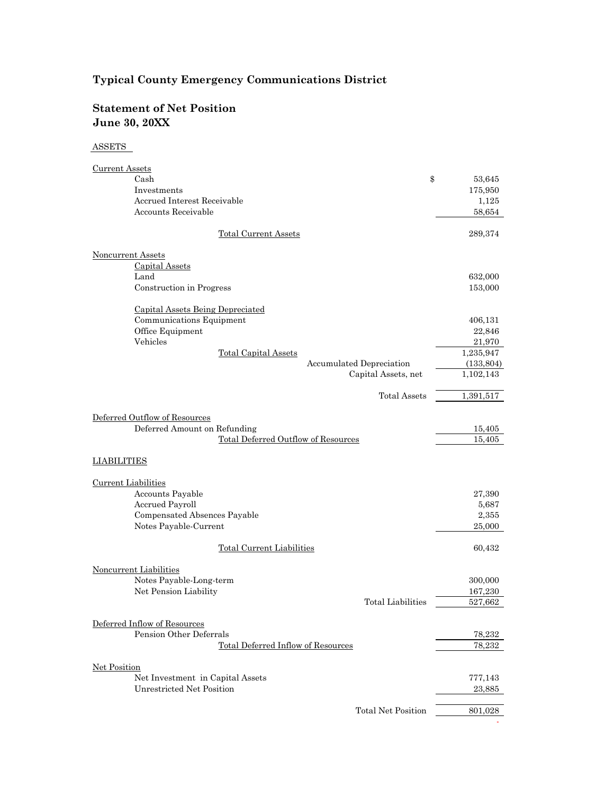### **Statement of Net Position June 30, 20XX**

### ASSETS

| <b>Current Assets</b>                             |              |
|---------------------------------------------------|--------------|
| Cash                                              | \$<br>53,645 |
| Investments                                       | 175,950      |
| Accrued Interest Receivable                       | 1,125        |
| Accounts Receivable                               | 58,654       |
| <b>Total Current Assets</b>                       | 289,374      |
| <b>Noncurrent Assets</b>                          |              |
| <b>Capital Assets</b>                             |              |
| Land                                              | 632,000      |
| Construction in Progress                          | 153,000      |
| Capital Assets Being Depreciated                  |              |
| Communications Equipment                          | 406,131      |
| Office Equipment                                  | 22,846       |
| Vehicles                                          | 21,970       |
| <b>Total Capital Assets</b>                       | 1,235,947    |
| Accumulated Depreciation                          | (133, 804)   |
| Capital Assets, net                               | 1,102,143    |
| <b>Total Assets</b>                               | 1,391,517    |
|                                                   |              |
| Deferred Outflow of Resources                     |              |
| Deferred Amount on Refunding                      | 15,405       |
| Total Deferred Outflow of Resources               | 15,405       |
| LIABILITIES                                       |              |
|                                                   |              |
| <b>Current Liabilities</b>                        |              |
| Accounts Payable                                  | 27,390       |
| Accrued Payroll                                   | 5,687        |
| Compensated Absences Payable                      | 2,355        |
| Notes Payable-Current                             | 25,000       |
| <b>Total Current Liabilities</b>                  | 60,432       |
|                                                   |              |
| Noncurrent Liabilities                            |              |
| Notes Payable-Long-term                           | 300,000      |
| Net Pension Liability<br><b>Total Liabilities</b> | 167,230      |
|                                                   | 527,662      |
| Deferred Inflow of Resources                      |              |
| Pension Other Deferrals                           | 78,232       |
| <b>Total Deferred Inflow of Resources</b>         | 78,232       |
|                                                   |              |
| <b>Net Position</b>                               |              |
| Net Investment in Capital Assets                  | 777,143      |
| Unrestricted Net Position                         | 23,885       |
| Total Net Position                                | 801,028      |
|                                                   |              |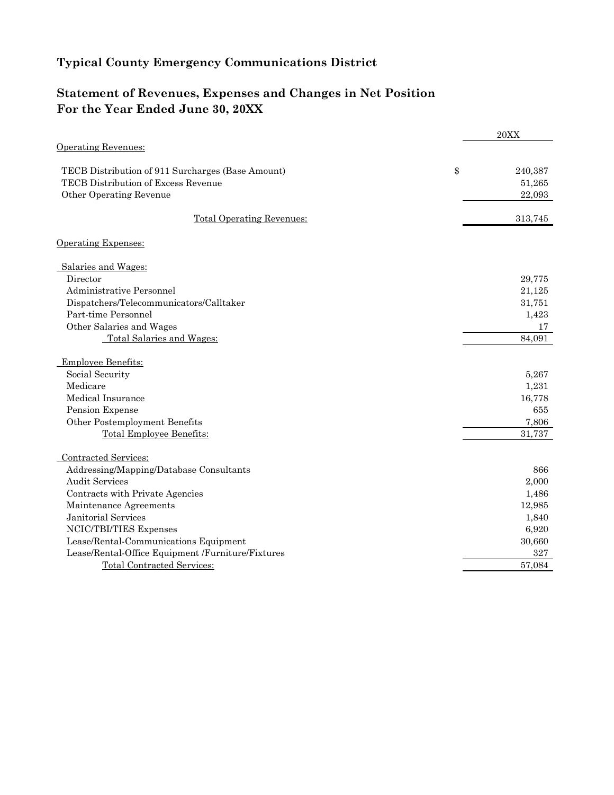### **Statement of Revenues, Expenses and Changes in Net Position For the Year Ended June 30, 20XX**

|                                                   | 20XX          |
|---------------------------------------------------|---------------|
| <b>Operating Revenues:</b>                        |               |
| TECB Distribution of 911 Surcharges (Base Amount) | \$<br>240,387 |
| TECB Distribution of Excess Revenue               | 51,265        |
| Other Operating Revenue                           | 22,093        |
| <b>Total Operating Revenues:</b>                  | 313,745       |
| <b>Operating Expenses:</b>                        |               |
| Salaries and Wages:                               |               |
| Director                                          | 29,775        |
| Administrative Personnel                          | 21,125        |
| Dispatchers/Telecommunicators/Calltaker           | 31,751        |
| Part-time Personnel                               | 1,423         |
| Other Salaries and Wages                          | 17            |
| Total Salaries and Wages:                         | 84.091        |
| Employee Benefits:                                |               |
| Social Security                                   | 5,267         |
| Medicare                                          | 1,231         |
| Medical Insurance                                 | 16,778        |
| Pension Expense                                   | 655           |
| Other Postemployment Benefits                     | 7,806         |
| <b>Total Employee Benefits:</b>                   | 31,737        |
| Contracted Services:                              |               |
| Addressing/Mapping/Database Consultants           | 866           |
| <b>Audit Services</b>                             | 2,000         |
| Contracts with Private Agencies                   | 1,486         |
| Maintenance Agreements                            | 12,985        |
| Janitorial Services                               | 1,840         |
| NCIC/TBI/TIES Expenses                            | 6,920         |
| Lease/Rental-Communications Equipment             | 30,660        |
| Lease/Rental-Office Equipment /Furniture/Fixtures | 327           |
| <b>Total Contracted Services:</b>                 | 57,084        |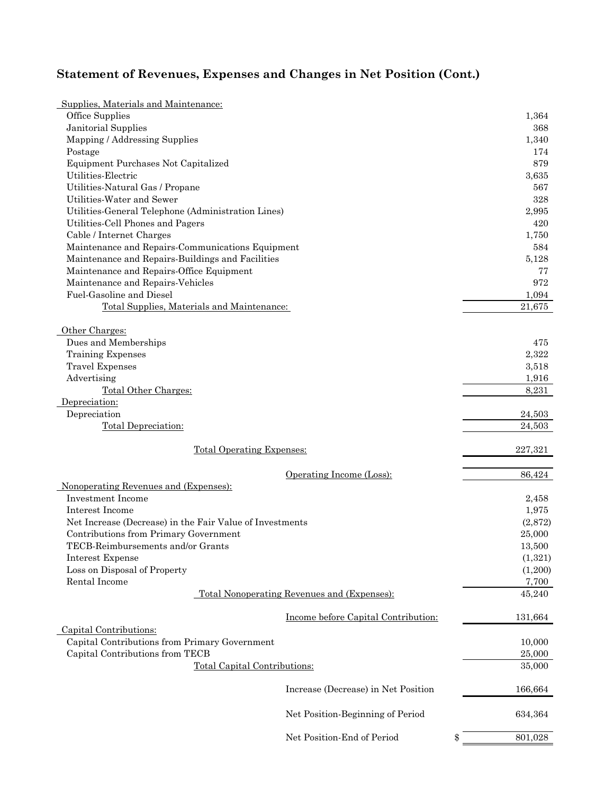## **Statement of Revenues, Expenses and Changes in Net Position (Cont.)**

| Supplies, Materials and Maintenance:                     |         |
|----------------------------------------------------------|---------|
| Office Supplies                                          | 1,364   |
| Janitorial Supplies                                      | 368     |
| Mapping / Addressing Supplies                            | 1,340   |
| Postage                                                  | 174     |
| Equipment Purchases Not Capitalized                      | 879     |
| Utilities-Electric                                       | 3,635   |
| Utilities-Natural Gas / Propane                          | 567     |
| Utilities-Water and Sewer                                | 328     |
| Utilities-General Telephone (Administration Lines)       | 2,995   |
| Utilities-Cell Phones and Pagers                         | 420     |
| Cable / Internet Charges                                 | 1,750   |
| Maintenance and Repairs-Communications Equipment         | 584     |
| Maintenance and Repairs-Buildings and Facilities         | 5,128   |
| Maintenance and Repairs-Office Equipment                 | 77      |
| Maintenance and Repairs-Vehicles                         | 972     |
| Fuel-Gasoline and Diesel                                 | 1,094   |
| Total Supplies, Materials and Maintenance:               | 21,675  |
|                                                          |         |
| Other Charges:                                           |         |
| Dues and Memberships                                     | 475     |
| Training Expenses                                        | 2,322   |
| <b>Travel Expenses</b>                                   | 3,518   |
| Advertising                                              | 1,916   |
| Total Other Charges:                                     | 8,231   |
| Depreciation:                                            |         |
| Depreciation                                             | 24,503  |
| Total Depreciation:                                      | 24,503  |
| <b>Total Operating Expenses:</b>                         | 227,321 |
|                                                          |         |
| Operating Income (Loss):                                 | 86,424  |
| Nonoperating Revenues and (Expenses):                    |         |
| <b>Investment Income</b>                                 | 2,458   |
| Interest Income                                          | 1,975   |
| Net Increase (Decrease) in the Fair Value of Investments | (2,872) |
| Contributions from Primary Government                    | 25,000  |
| TECB-Reimbursements and/or Grants                        | 13,500  |
| Interest Expense                                         | (1,321) |
| Loss on Disposal of Property                             | (1,200) |
| Rental Income                                            | 7,700   |
| Total Nonoperating Revenues and (Expenses):              | 45,240  |
|                                                          |         |
| Income before Capital Contribution:                      | 131,664 |
| Capital Contributions:                                   |         |
| Capital Contributions from Primary Government            | 10,000  |
| Capital Contributions from TECB                          | 25,000  |
| <b>Total Capital Contributions:</b>                      | 35,000  |
| Increase (Decrease) in Net Position                      | 166,664 |
| Net Position-Beginning of Period                         | 634,364 |
| Net Position-End of Period<br>\$                         | 801,028 |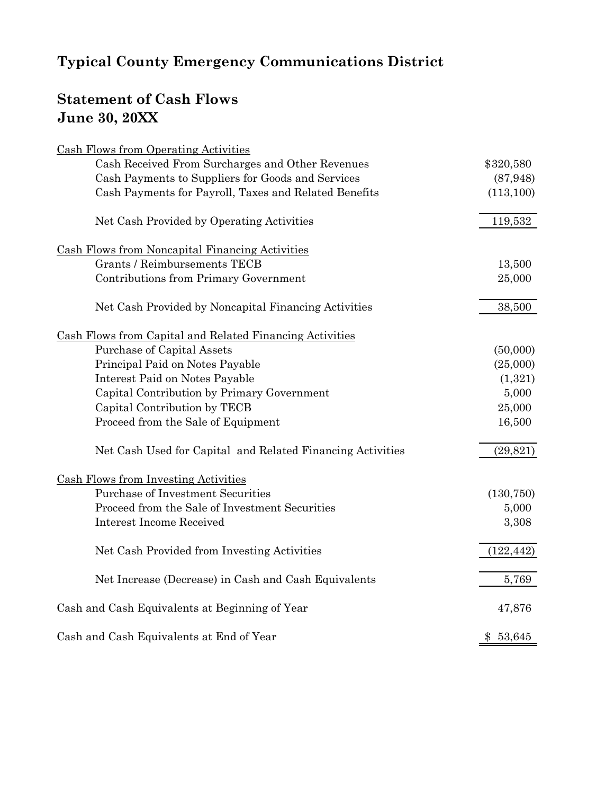# **Statement of Cash Flows June 30, 20XX**

| Cash Flows from Operating Activities                       |            |
|------------------------------------------------------------|------------|
| Cash Received From Surcharges and Other Revenues           | \$320,580  |
| Cash Payments to Suppliers for Goods and Services          | (87, 948)  |
| Cash Payments for Payroll, Taxes and Related Benefits      | (113, 100) |
| Net Cash Provided by Operating Activities                  | 119,532    |
| <b>Cash Flows from Noncapital Financing Activities</b>     |            |
| <b>Grants / Reimbursements TECB</b>                        | 13,500     |
| Contributions from Primary Government                      | 25,000     |
| Net Cash Provided by Noncapital Financing Activities       | 38,500     |
| Cash Flows from Capital and Related Financing Activities   |            |
| Purchase of Capital Assets                                 | (50,000)   |
| Principal Paid on Notes Payable                            | (25,000)   |
| Interest Paid on Notes Payable                             | (1,321)    |
| Capital Contribution by Primary Government                 | 5,000      |
| Capital Contribution by TECB                               | 25,000     |
| Proceed from the Sale of Equipment                         | 16,500     |
| Net Cash Used for Capital and Related Financing Activities | (29, 821)  |
| <b>Cash Flows from Investing Activities</b>                |            |
| <b>Purchase of Investment Securities</b>                   | (130, 750) |
| Proceed from the Sale of Investment Securities             | 5,000      |
| <b>Interest Income Received</b>                            | 3,308      |
| Net Cash Provided from Investing Activities                | (122, 442) |
| Net Increase (Decrease) in Cash and Cash Equivalents       | 5,769      |
| Cash and Cash Equivalents at Beginning of Year             | 47,876     |
| Cash and Cash Equivalents at End of Year                   | \$53,645   |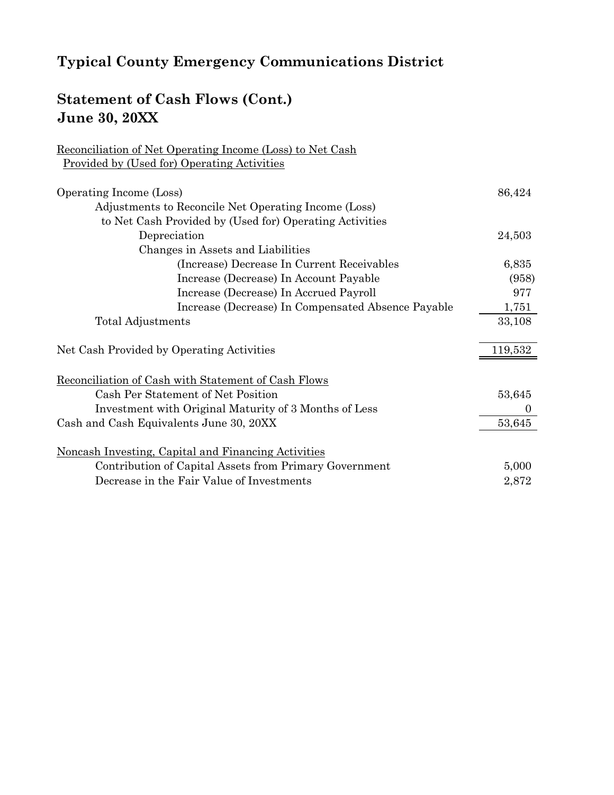## **Statement of Cash Flows (Cont.) June 30, 20XX**

Reconciliation of Net Operating Income (Loss) to Net Cash

## Provided by (Used for) Operating Activities Operating Income (Loss) 86,424 Adjustments to Reconcile Net Operating Income (Loss) to Net Cash Provided by (Used for) Operating Activities Depreciation 24,503 Changes in Assets and Liabilities (Increase) Decrease In Current Receivables 6,835 Increase (Decrease) In Account Payable (958) Increase (Decrease) In Accrued Payroll 977 Increase (Decrease) In Compensated Absence Payable 1,751 Total Adjustments 33,108 Net Cash Provided by Operating Activities 119,532 Reconciliation of Cash with Statement of Cash Flows Cash Per Statement of Net Position 53,645 Investment with Original Maturity of 3 Months of Less 0 Cash and Cash Equivalents June 30, 20XX 53,645 Noncash Investing, Capital and Financing Activities Contribution of Capital Assets from Primary Government 5,000 Decrease in the Fair Value of Investments 2,872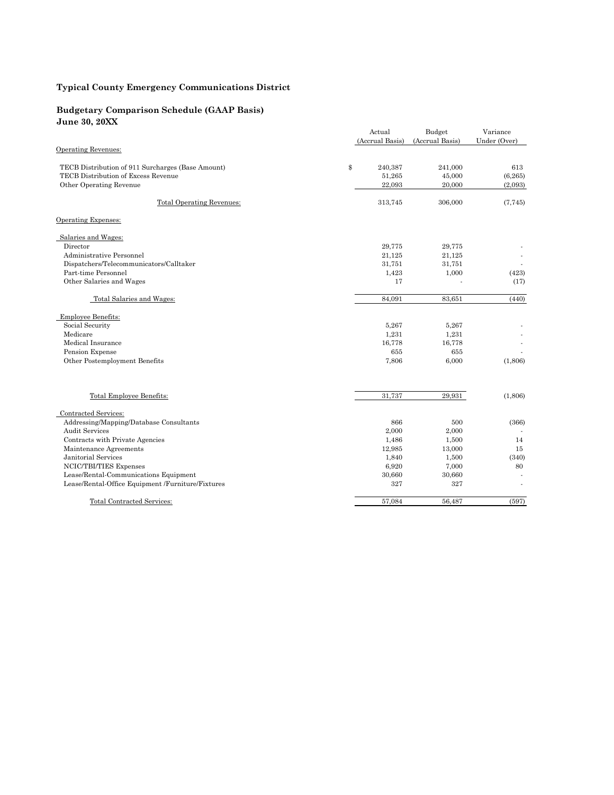#### **Budgetary Comparison Schedule (GAAP Basis) June 30, 20XX**

| Julie JV, 40AA                                    |                 |                 |              |
|---------------------------------------------------|-----------------|-----------------|--------------|
|                                                   | Actual          | Budget          | Variance     |
|                                                   | (Accrual Basis) | (Accrual Basis) | Under (Over) |
| <b>Operating Revenues:</b>                        |                 |                 |              |
| TECB Distribution of 911 Surcharges (Base Amount) | \$<br>240,387   | 241,000         | 613          |
| TECB Distribution of Excess Revenue               | 51,265          | 45,000          | (6, 265)     |
| Other Operating Revenue                           | 22,093          | 20,000          | (2,093)      |
|                                                   |                 |                 |              |
| <b>Total Operating Revenues:</b>                  | 313,745         | 306,000         | (7, 745)     |
| Operating Expenses:                               |                 |                 |              |
| Salaries and Wages:                               |                 |                 |              |
| Director                                          | 29,775          | 29,775          |              |
| Administrative Personnel                          | 21,125          | 21,125          |              |
| Dispatchers/Telecommunicators/Calltaker           | 31,751          | 31,751          |              |
| Part-time Personnel                               | 1,423           | 1,000           | (423)        |
| Other Salaries and Wages                          | 17              |                 | (17)         |
| Total Salaries and Wages:                         | 84,091          | 83,651          | (440)        |
| <b>Employee Benefits:</b>                         |                 |                 |              |
| Social Security                                   | 5,267           | 5,267           |              |
| Medicare                                          | 1,231           | 1,231           |              |
| Medical Insurance                                 | 16,778          | 16,778          |              |
| Pension Expense                                   | 655             | 655             |              |
| Other Postemployment Benefits                     | 7,806           | 6,000           | (1,806)      |
|                                                   |                 |                 |              |
| Total Employee Benefits:                          | 31,737          | 29,931          | (1,806)      |
| Contracted Services:                              |                 |                 |              |
| Addressing/Mapping/Database Consultants           | 866             | 500             | (366)        |
| <b>Audit Services</b>                             | 2,000           | 2,000           |              |
| Contracts with Private Agencies                   | 1,486           | 1,500           | 14           |
| Maintenance Agreements                            | 12,985          | 13,000          | 15           |
| Janitorial Services                               | 1,840           | 1,500           | (340)        |
| NCIC/TBI/TIES Expenses                            | 6,920           | 7,000           | 80           |
| Lease/Rental-Communications Equipment             | 30,660          | 30,660          |              |
| Lease/Rental-Office Equipment /Furniture/Fixtures | 327             | 327             |              |
| <b>Total Contracted Services:</b>                 | 57,084          | 56,487          | (597)        |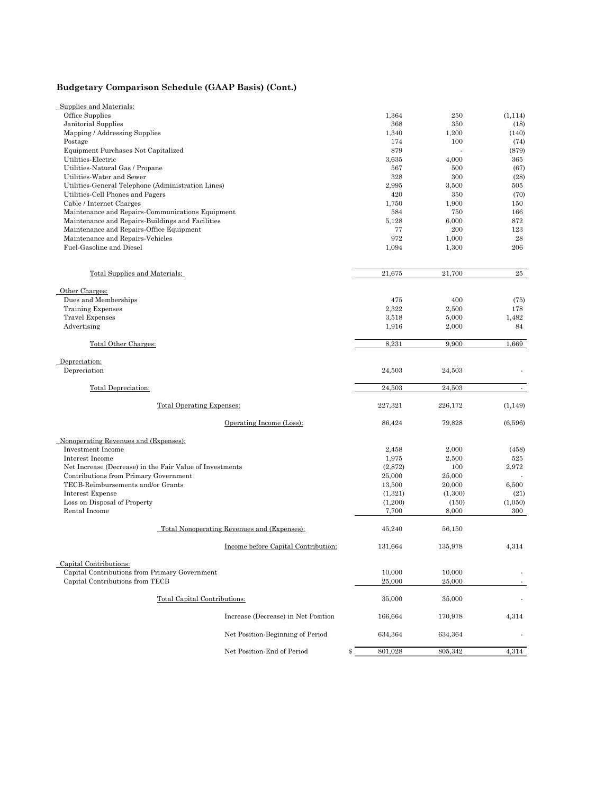### **Budgetary Comparison Schedule (GAAP Basis) (Cont.)**

| Supplies and Materials:                                  |                                             |               |         |                             |
|----------------------------------------------------------|---------------------------------------------|---------------|---------|-----------------------------|
| Office Supplies                                          |                                             | 1,364         | 250     | (1, 114)                    |
| Janitorial Supplies                                      |                                             | 368           | 350     | (18)                        |
| Mapping / Addressing Supplies                            |                                             | 1,340         | 1,200   | (140)                       |
| Postage                                                  |                                             | 174           | 100     | (74)                        |
| Equipment Purchases Not Capitalized                      |                                             | 879           |         | (879)                       |
| Utilities-Electric                                       |                                             | 3,635         | 4,000   | 365                         |
| Utilities-Natural Gas / Propane                          |                                             | 567           | 500     | (67)                        |
| Utilities-Water and Sewer                                |                                             | 328           | 300     | (28)                        |
| Utilities-General Telephone (Administration Lines)       |                                             | 2,995         | 3,500   | 505                         |
| Utilities-Cell Phones and Pagers                         |                                             | 420           | 350     | (70)                        |
| Cable / Internet Charges                                 |                                             | 1,750         | 1,900   | 150                         |
| Maintenance and Repairs-Communications Equipment         |                                             | 584           | 750     | 166                         |
| Maintenance and Repairs-Buildings and Facilities         |                                             | 5,128         | 6,000   | 872                         |
| Maintenance and Repairs-Office Equipment                 |                                             | 77            | 200     | 123                         |
| Maintenance and Repairs-Vehicles                         |                                             | 972           | 1,000   | 28                          |
| Fuel-Gasoline and Diesel                                 |                                             | 1.094         | 1,300   | 206                         |
|                                                          |                                             |               |         |                             |
| Total Supplies and Materials:                            |                                             | 21,675        | 21,700  | $\bf 25$                    |
| Other Charges:                                           |                                             |               |         |                             |
| Dues and Memberships                                     |                                             | 475           | 400     | (75)                        |
| <b>Training Expenses</b>                                 |                                             | 2,322         | 2,500   | 178                         |
| Travel Expenses                                          |                                             | 3,518         | 5,000   | 1,482                       |
| Advertising                                              |                                             | 1,916         | 2,000   | 84                          |
| Total Other Charges:                                     |                                             | 8,231         | 9,900   | 1,669                       |
| Depreciation:                                            |                                             |               |         |                             |
| Depreciation                                             |                                             | 24,503        | 24,503  |                             |
| Total Depreciation:                                      |                                             | 24,503        | 24,503  | $\mathcal{L}_{\mathcal{A}}$ |
| Total Operating Expenses:                                |                                             | 227,321       | 226,172 | (1, 149)                    |
|                                                          | Operating Income (Loss):                    | 86,424        | 79,828  | (6,596)                     |
| Nonoperating Revenues and (Expenses):                    |                                             |               |         |                             |
| Investment Income                                        |                                             | 2,458         | 2,000   | (458)                       |
| Interest Income                                          |                                             | 1,975         | 2,500   | 525                         |
| Net Increase (Decrease) in the Fair Value of Investments |                                             | (2,872)       | 100     | 2,972                       |
| Contributions from Primary Government                    |                                             | 25,000        | 25,000  |                             |
| TECB-Reimbursements and/or Grants                        |                                             | 13,500        | 20,000  | 6,500                       |
| Interest Expense                                         |                                             | (1,321)       | (1,300) | (21)                        |
| Loss on Disposal of Property                             |                                             | (1,200)       | (150)   | (1,050)                     |
| Rental Income                                            |                                             | 7,700         | 8,000   | 300                         |
|                                                          | Total Nonoperating Revenues and (Expenses): | 45,240        | 56,150  |                             |
|                                                          | Income before Capital Contribution:         | 131,664       | 135,978 | 4,314                       |
|                                                          |                                             |               |         |                             |
| Capital Contributions:                                   |                                             |               |         |                             |
| Capital Contributions from Primary Government            |                                             | 10,000        | 10,000  |                             |
| Capital Contributions from TECB                          |                                             | 25,000        | 25,000  |                             |
| Total Capital Contributions:                             |                                             | 35,000        | 35,000  |                             |
|                                                          |                                             |               |         |                             |
|                                                          | Increase (Decrease) in Net Position         | 166,664       | 170,978 | 4,314                       |
|                                                          | Net Position-Beginning of Period            | 634,364       | 634,364 |                             |
|                                                          | Net Position-End of Period                  | \$<br>801,028 | 805,342 | 4,314                       |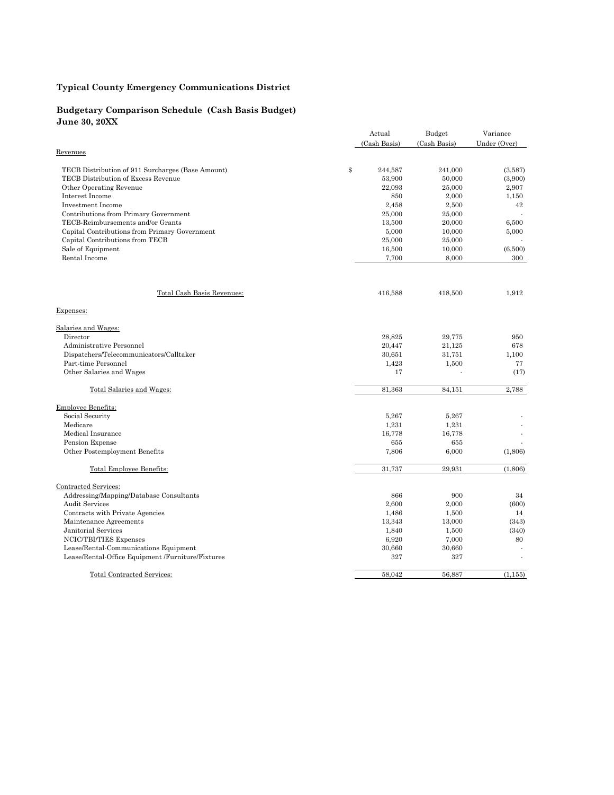#### **Budgetary Comparison Schedule (Cash Basis Budget) June 30, 20XX**

|                                                   | Actual        | Budget       | Variance     |
|---------------------------------------------------|---------------|--------------|--------------|
|                                                   | (Cash Basis)  | (Cash Basis) | Under (Over) |
| Revenues                                          |               |              |              |
| TECB Distribution of 911 Surcharges (Base Amount) | \$<br>244,587 | 241,000      | (3,587)      |
| TECB Distribution of Excess Revenue               | 53,900        | 50,000       | (3,900)      |
| Other Operating Revenue                           | 22,093        | 25,000       | 2,907        |
| Interest Income                                   | 850           | 2,000        | 1,150        |
| <b>Investment Income</b>                          | 2,458         | 2,500        | 42           |
| Contributions from Primary Government             | 25,000        | 25,000       |              |
| TECB-Reimbursements and/or Grants                 | 13,500        | 20,000       | 6,500        |
| Capital Contributions from Primary Government     | 5,000         | 10,000       | 5,000        |
| Capital Contributions from TECB                   | 25,000        | 25,000       |              |
| Sale of Equipment                                 | 16,500        | 10,000       | (6,500)      |
| Rental Income                                     | 7,700         | 8,000        | 300          |
|                                                   |               |              |              |
| Total Cash Basis Revenues:                        | 416,588       | 418,500      | 1,912        |
| Expenses:                                         |               |              |              |
| Salaries and Wages:                               |               |              |              |
| Director                                          | 28,825        | 29,775       | 950          |
| Administrative Personnel                          | 20,447        | 21,125       | 678          |
| Dispatchers/Telecommunicators/Calltaker           | 30,651        | 31,751       | 1,100        |
| Part-time Personnel                               | 1,423         | 1,500        | 77           |
| Other Salaries and Wages                          | 17            |              | (17)         |
| Total Salaries and Wages:                         | 81.363        | 84,151       | 2,788        |
| Employee Benefits:                                |               |              |              |
| Social Security                                   | 5,267         | 5,267        |              |
| Medicare                                          | 1,231         | 1,231        |              |
| Medical Insurance                                 | 16,778        | 16,778       |              |
| Pension Expense                                   | 655           | 655          |              |
| Other Postemployment Benefits                     | 7,806         | 6,000        | (1,806)      |
| Total Employee Benefits:                          | 31,737        | 29,931       | (1,806)      |
| Contracted Services:                              |               |              |              |
| Addressing/Mapping/Database Consultants           | 866           | 900          | 34           |
| <b>Audit Services</b>                             | 2,600         | 2,000        | (600)        |
| Contracts with Private Agencies                   | 1,486         | 1,500        | 14           |
| Maintenance Agreements                            | 13,343        | 13,000       | (343)        |
| Janitorial Services                               | 1,840         | 1,500        | (340)        |
| NCIC/TBI/TIES Expenses                            | 6,920         | 7,000        | 80           |
| Lease/Rental-Communications Equipment             | 30,660        | 30,660       |              |
| Lease/Rental-Office Equipment /Furniture/Fixtures | 327           | 327          |              |
| Total Contracted Services:                        | 58,042        | 56,887       | (1, 155)     |